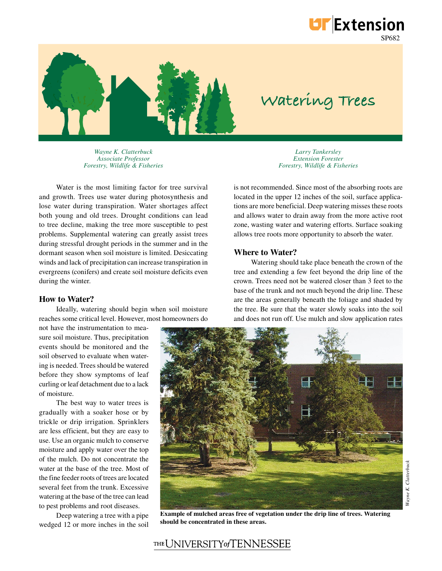

# **Watering Trees**

SP682

**UF** Extension

*Wayne K. Clatterbuck Associate Professor Forestry, Wildlife & Fisheries*

Water is the most limiting factor for tree survival and growth. Trees use water during photosynthesis and lose water during transpiration. Water shortages affect both young and old trees. Drought conditions can lead to tree decline, making the tree more susceptible to pest problems. Supplemental watering can greatly assist trees during stressful drought periods in the summer and in the dormant season when soil moisture is limited. Desiccating winds and lack of precipitation can increase transpiration in evergreens (conifers) and create soil moisture deficits even during the winter.

#### **How to Water?**

Ideally, watering should begin when soil moisture reaches some critical level. However, most homeowners do

not have the instrumentation to measure soil moisture. Thus, precipitation events should be monitored and the soil observed to evaluate when watering is needed. Trees should be watered before they show symptoms of leaf curling or leaf detachment due to a lack of moisture.

The best way to water trees is gradually with a soaker hose or by trickle or drip irrigation. Sprinklers are less efficient, but they are easy to use. Use an organic mulch to conserve moisture and apply water over the top of the mulch. Do not concentrate the water at the base of the tree. Most of the fine feeder roots of trees are located several feet from the trunk. Excessive watering at the base of the tree can lead to pest problems and root diseases.

Deep watering a tree with a pipe wedged 12 or more inches in the soil

*Larry Tankersley Extension Forester Forestry, Wildlife & Fisheries*

is not recommended. Since most of the absorbing roots are located in the upper 12 inches of the soil, surface applications are more beneficial. Deep watering misses these roots and allows water to drain away from the more active root zone, wasting water and watering efforts. Surface soaking allows tree roots more opportunity to absorb the water.

### **Where to Water?**

Watering should take place beneath the crown of the tree and extending a few feet beyond the drip line of the crown. Trees need not be watered closer than 3 feet to the base of the trunk and not much beyond the drip line. These are the areas generally beneath the foliage and shaded by the tree. Be sure that the water slowly soaks into the soil and does not run off. Use mulch and slow application rates



**Example of mulched areas free of vegetation under the drip line of trees. Watering should be concentrated in these areas.** 

# THE UNIVERSITY of TENNESSEE